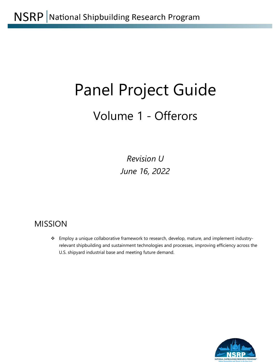# Panel Project Guide

# Volume 1 - Offerors

*Revision U June 16, 2022*

# MISSION

\* Employ a unique collaborative framework to research, develop, mature, and implement industryrelevant shipbuilding and sustainment technologies and processes, improving efficiency across the U.S. shipyard industrial base and meeting future demand.

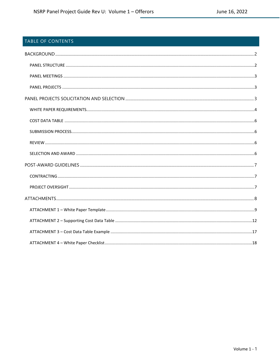#### TABLE OF CONTENTS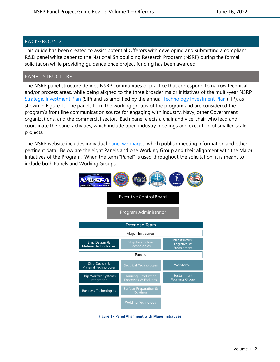#### <span id="page-2-0"></span>BACKGROUND

This guide has been created to assist potential Offerors with developing and submitting a compliant R&D panel white paper to the National Shipbuilding Research Program (NSRP) during the formal solicitation while providing guidance once project funding has been awarded.

#### <span id="page-2-1"></span>PANEL STRUCTURE

The NSRP panel structure defines NSRP communities of practice that correspond to narrow technical and/or process areas, while being aligned to the three broader major initiatives of the multi-year NSRP [Strategic Investment Plan](https://www.nsrp.org/wp-content/uploads/2022/03/NSRP-Strategic-Investment-Plan-2022.pdf) (SIP) and as amplified by the annual [Technology Investment Plan](https://www.nsrp.org/wp-content/uploads/2022/03/NSRP-Technology-Investment-Plan-2022.pdf) (TIP), as shown in Figure 1. The panels form the working groups of the program and are considered the program's front line communication source for engaging with industry, Navy, other Government organizations, and the commercial sector. Each panel elects a chair and vice-chair who lead and coordinate the panel activities, which include open industry meetings and execution of smaller-scale projects.

The NSRP website includes individual [panel webpages,](https://www.nsrp.org/panels-2/) which publish meeting information and other pertinent data. Below are the eight Panels and one Working Group and their alignment with the Major Initiatives of the Program. When the term "Panel" is used throughout the solicitation, it is meant to include both Panels and Working Groups.



**Figure 1 - Panel Alignment with Major Initiatives**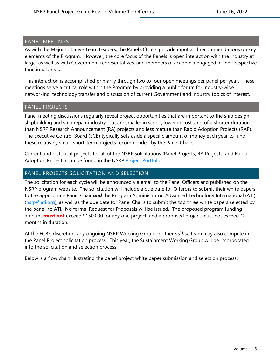#### <span id="page-3-0"></span>PANEL MEETINGS

As with the Major Initiative Team Leaders, the Panel Officers provide input and recommendations on key elements of the Program. However, the core focus of the Panels is open interaction with the industry at large, as well as with Government representatives, and members of academia engaged in their respective functional areas.

This interaction is accomplished primarily through two to four open meetings per panel per year. These meetings serve a critical role within the Program by providing a public forum for industry-wide networking, technology transfer and discussion of current Government and industry topics of interest.

#### <span id="page-3-1"></span>PANEL PROJECTS

Panel meeting discussions regularly reveal project opportunities that are important to the ship design, shipbuilding and ship repair industry, but are smaller in scope, lower in cost, and of a shorter duration than NSRP Research Announcement (RA) projects and less mature than Rapid Adoption Projects (RAP). The Executive Control Board (ECB) typically sets aside a specific amount of money each year to fund these relatively small, short-term projects recommended by the Panel Chairs.

Current and historical projects for all of the NSRP solicitations (Panel Projects, RA Projects, and Rapid Adoption Projects) can be found in the NSRP [Project Portfolio.](https://www.nsrp.org/project-portfolio/)

#### <span id="page-3-2"></span>PANEL PROJECTS SOLICITATION AND SELECTION

The solicitation for each cycle will be announced via email to the Panel Officers and published on the NSRP program website. The solicitation will include a due date for Offerors to submit their white papers to the appropriate Panel Chair *and* the Program Administrator, Advanced Technology International (ATI)  $(nsrp@ati.org)$ , as well as the due date for Panel Chairs to submit the top three white papers selected by the panel, to ATI. No formal Request for Proposals will be issued. The proposed program funding amount **must not** exceed \$150,000 for any one project, and a proposed project must not exceed 12 months in duration.

At the ECB's discretion, any ongoing NSRP Working Group or other *ad hoc* team may also compete in the Panel Project solicitation process. This year, the Sustainment Working Group will be incorporated into the solicitation and selection process.

Below is a flow chart illustrating the panel project white paper submission and selection process: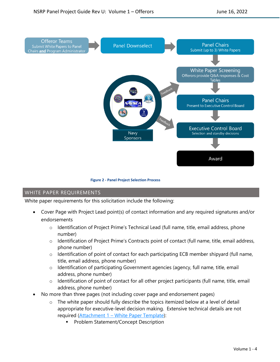

**Figure 2 - Panel Project Selection Process**

#### <span id="page-4-0"></span>WHITE PAPER REQUIREMENTS

White paper requirements for this solicitation include the following:

- Cover Page with Project Lead point(s) of contact information and any required signatures and/or endorsements
	- o Identification of Project Prime's Technical Lead (full name, title, email address, phone number)
	- o Identification of Project Prime's Contracts point of contact (full name, title, email address, phone number)
	- $\circ$  Identification of point of contact for each participating ECB member shipyard (full name, title, email address, phone number)
	- o Identification of participating Government agencies (agency, full name, title, email address, phone number)
	- $\circ$  Identification of point of contact for all other project participants (full name, title, email address, phone number)
- No more than three pages (not including cover page and endorsement pages)
	- $\circ$  The white paper should fully describe the topics itemized below at a level of detail appropriate for executive-level decision making. Extensive technical details are not required [\(Attachment 1](#page-9-0) – White Paper Template):
		- Problem Statement/Concept Description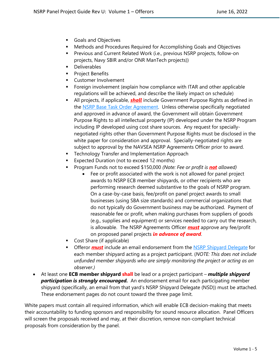- **Goals and Objectives**
- Methods and Procedures Required for Accomplishing Goals and Objectives
- **Previous and Current Related Work (i.e., previous NSRP projects, follow-on** projects, Navy SBIR and/or ONR ManTech projects))
- **-** Deliverables
- **Project Benefits**
- **Customer Involvement**
- **Fight** Foreign involvement (explain how compliance with ITAR and other applicable regulations will be achieved, and describe the likely impact on schedule)
- **All projects, if applicable, <b>shall** include Government Purpose Rights as defined in the [NSRP Base Task Order](https://www.nsrp.org/wp-content/uploads/2019/01/Base-TOA_V3.docx) Agreement. Unless otherwise specifically negotiated and approved in advance of award, the Government will obtain Government Purpose Rights to all intellectual property (IP) developed under the NSRP Program including IP developed using cost share sources. Any request for speciallynegotiated rights other than Government Purpose Rights must be disclosed in the white paper for consideration and approval. Specially-negotiated rights are subject to approval by the NAVSEA NSRP Agreements Officer prior to award.
- Technology Transfer and Implementation Approach
- **Expected Duration (not to exceed 12 months)**
- Program Funds not to exceed \$150,000 *(Note: Fee or profit is not allowed)*
	- Fee or profit associated with the work is not allowed for panel project awards to NSRP ECB member shipyards, or other recipients who are performing research deemed substantive to the goals of NSRP program. On a case-by-case basis, fee/profit on panel project awards to small businesses (using SBA size standards) and commercial organizations that do not typically do Government business may be authorized. Payment of reasonable fee or profit, when making purchases from suppliers of goods (e.g., supplies and equipment) or services needed to carry out the research, is allowable. The NSRP Agreements Officer *must* approve any fee/profit on proposed panel projects *in advance of award*.
- **Cost Share (if applicable)**
- Offeror *must* include an email endorsement from the [NSRP Shipyard Delegate](https://www.nsrp.org/nsrp-shipyard-delegates/) for each member shipyard acting as a project participant. (*NOTE: This does not include unfunded member shipyards who are simply monitoring the project or acting as an observer.)*
- At least one **ECB member shipyard shall** be lead or a project participant *multiple shipyard participation is strongly encouraged.* An endorsement email for each participating member shipyard (specifically, an email from that yard's NSRP Shipyard Delegate (NSD)) must be attached. These endorsement pages do not count toward the three page limit.

White papers must contain all required information, which will enable ECB decision-making that meets their accountability to funding sponsors and responsibility for sound resource allocation. Panel Officers will screen the proposals received and may, at their discretion, remove non-compliant technical proposals from consideration by the panel.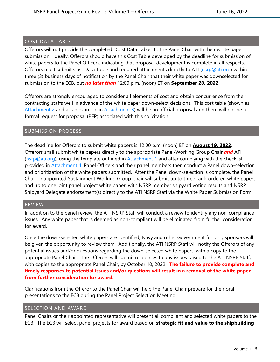#### <span id="page-6-0"></span>COST DATA TABLE

Offerors will not provide the completed "Cost Data Table" to the Panel Chair with their white paper submission. Ideally, Offerors should have this Cost Table developed by the deadline for submission of white papers to the Panel Officers, indicating that proposal development is complete in all respects. Offerors must submit Cost Data Table and required attachments directly to ATI [\(nsrp@ati.org\)](mailto:nsrp@ati.org?subject=NSRP%20White%20Paper%20-%20Cost%20Data%20Table) within three (3) business days of notification by the Panel Chair that their white paper was downselected for submission to the ECB, but *no later than* 12:00 p.m. (noon) ET on **September 20, 2022**.

Offerors are strongly encouraged to consider all elements of cost and obtain concurrence from their contracting staffs well in advance of the white paper down-select decisions. This cost table (shown as [Attachment 2](#page-12-0) and as an example in [Attachment 3\)](#page-17-0) will be an official proposal and there will not be a formal request for proposal (RFP) associated with this solicitation.

#### <span id="page-6-1"></span>SUBMISSION PROCESS

The deadline for Offerors to submit white papers is 12:00 p.m. (noon) ET on **August 19, 2022**. Offerors shall submit white papers directly to the appropriate Panel/Working Group Chair *and* ATI ( $n<sub>SP</sub>Qati.org$ ), using the template outlined in [Attachment 1](#page-9-0) and after complying with the checklist provided in **Attachment 4.** Panel Officers and their panel members then conduct a Panel down-selection and prioritization of the white papers submitted. After the Panel down-selection is complete, the Panel Chair or appointed Sustainment Working Group Chair will submit up to three rank-ordered white papers and up to one joint panel project white paper, with NSRP member shipyard voting results and NSRP Shipyard Delegate endorsement(s) directly to the ATI NSRP Staff via the White Paper Submission Form.

#### <span id="page-6-2"></span>REVIEW

In addition to the panel review, the ATI NSRP Staff will conduct a review to identify any non-compliance issues. Any white paper that is deemed as non-compliant will be eliminated from further consideration for award.

Once the down-selected white papers are identified, Navy and other Government funding sponsors will be given the opportunity to review them. Additionally, the ATI NSRP Staff will notify the Offerors of any potential issues and/or questions regarding the down-selected white papers, with a copy to the appropriate Panel Chair. The Offerors will submit responses to any issues raised to the ATI NSRP Staff, with copies to the appropriate Panel Chair, by October 10, 2022. **The failure to provide complete and timely responses to potential issues and/or questions will result in a removal of the white paper from further consideration for award.**

Clarifications from the Offeror to the Panel Chair will help the Panel Chair prepare for their oral presentations to the ECB during the Panel Project Selection Meeting.

#### <span id="page-6-3"></span>SELECTION AND AWARD

Panel Chairs or their appointed representative will present all compliant and selected white papers to the ECB. The ECB will select panel projects for award based on **strategic fit and value to the shipbuilding**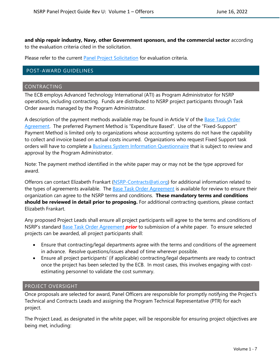**and ship repair industry, Navy, other Government sponsors, and the commercial sector** according to the evaluation criteria cited in the solicitation.

Please refer to the current [Panel Project Solicitation](https://www.nsrp.org/resource-library/) for evaluation criteria.

#### <span id="page-7-3"></span><span id="page-7-0"></span>POST-AWARD GUIDELINES

#### <span id="page-7-1"></span>CONTRACTING

The ECB employs Advanced Technology International (ATI) as Program Administrator for NSRP operations, including contracting. Funds are distributed to NSRP project participants through Task Order awards managed by the Program Administrator.

A description of the payment methods available may be found in Article V of the **Base Task Order** [Agreement.](https://www.nsrp.org/resource-library/) The preferred Payment Method is "Expenditure Based". Use of the "Fixed-Support" Payment Method is limited only to organizations whose accounting systems do not have the capability to collect and invoice based on actual costs incurred. Organizations who request Fixed Support task orders will have to complete a **Business System Information Questionnaire** that is subject to review and approval by the Program Administrator.

Note: The payment method identified in the white paper may or may not be the type approved for award.

Offerors can contact Elizabeth Frankart [\(NSRP-Contracts@ati.org\)](mailto:NSRP-Contracts@ati.org) for additional information related to the types of agreements available. The [Base Task Order Agreement](https://www.nsrp.org/resource-library/) is available for review to ensure their organization can agree to the NSRP terms and conditions. **These mandatory terms and conditions should be reviewed in detail prior to proposing.** For additional contracting questions, please contact Elizabeth Frankart.

Any proposed Project Leads shall ensure all project participants will agree to the terms and conditions of NSRP's standard [Base Task Order Agreement](https://www.nsrp.org/resource-library/) *prior* to submission of a white paper. To ensure selected projects can be awarded, all project participants shall:

- Ensure that contracting/legal departments agree with the terms and conditions of the agreement in advance. Resolve questions/issues ahead of time wherever possible.
- Ensure all project participants' (if applicable) contracting/legal departments are ready to contract once the project has been selected by the ECB. In most cases, this involves engaging with costestimating personnel to validate the cost summary.

#### <span id="page-7-2"></span>PROJECT OVERSIGHT

Once proposals are selected for award, Panel Officers are responsible for promptly notifying the Project's Technical and Contracts Leads and assigning the Program Technical Representative (PTR) for each project.

The Project Lead, as designated in the white paper, will be responsible for ensuring project objectives are being met, including: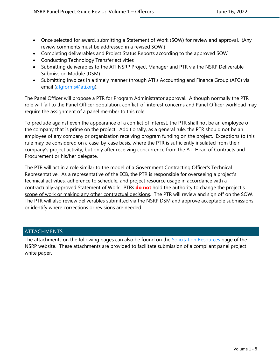- Once selected for award, submitting a Statement of Work (SOW) for review and approval. (Any review comments must be addressed in a revised SOW.)
- Completing deliverables and Project Status Reports according to the approved SOW
- Conducting Technology Transfer activities
- Submitting deliverables to the ATI NSRP Project Manager and PTR via the NSRP Deliverable Submission Module (DSM)
- Submitting invoices in a timely manner through ATI's Accounting and Finance Group (AFG) via email [\(afgforms@ati.org\)](mailto:afgforms@ati.org).

The Panel Officer will propose a PTR for Program Administrator approval. Although normally the PTR role will fall to the Panel Officer population, conflict-of-interest concerns and Panel Officer workload may require the assignment of a panel member to this role.

To preclude against even the appearance of a conflict of interest, the PTR shall not be an employee of the company that is prime on the project. Additionally, as a general rule, the PTR should not be an employee of any company or organization receiving program funding on the project. Exceptions to this rule may be considered on a case-by-case basis, where the PTR is sufficiently insulated from their company's project activity, but only after receiving concurrence from the ATI Head of Contracts and Procurement or his/her delegate.

The PTR will act in a role similar to the model of a Government Contracting Officer's Technical Representative. As a representative of the ECB, the PTR is responsible for overseeing a project's technical activities, adherence to schedule, and project resource usage in accordance with a contractually-approved Statement of Work. PTRs **do not** hold the authority to change the project's scope of work or making any other contractual decisions. The PTR will review and sign off on the SOW. The PTR will also review deliverables submitted via the NSRP DSM and approve acceptable submissions or identify where corrections or revisions are needed.

#### <span id="page-8-0"></span>ATTACHMENTS

The attachments on the following pages can also be found on the [Solicitation Resources](https://www.nsrp.org/resource-library/) page of the NSRP website. These attachments are provided to facilitate submission of a compliant panel project white paper.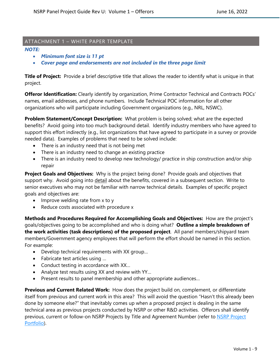#### <span id="page-9-0"></span>ATTACHMENT 1 – WHITE PAPER TEMPLATE

#### *NOTE:*

- *Minimum font size is 11 pt*
- *Cover page and endorsements are not included in the three page limit*

**Title of Project:** Provide a brief descriptive title that allows the reader to identify what is unique in that project.

**Offeror Identification:** Clearly identify by organization, Prime Contractor Technical and Contracts POCs' names, email addresses, and phone numbers. Include Technical POC information for all other organizations who will participate including Government organizations (e.g., NRL, NSWC).

**Problem Statement/Concept Description:** What problem is being solved; what are the expected benefits? Avoid going into too much background detail. Identify industry members who have agreed to support this effort indirectly (e.g., list organizations that have agreed to participate in a survey or provide needed data). Examples of problems that need to be solved include:

- There is an industry need that is not being met
- There is an industry need to change an existing practice
- There is an industry need to develop new technology/ practice in ship construction and/or ship repair

**Project Goals and Objectives:** Why is the project being done? Provide goals and objectives that support why. Avoid going into detail about the benefits, covered in a subsequent section. Write to senior executives who may not be familiar with narrow technical details. Examples of specific project goals and objectives are:

- Improve welding rate from x to y
- Reduce costs associated with procedure x

**Methods and Procedures Required for Accomplishing Goals and Objectives:** How are the project's goals/objectives going to be accomplished and who is doing what? **Outline a simple breakdown of the work activities (task descriptions) of the proposed project**. All panel members/shipyard team members/Government agency employees that will perform the effort should be named in this section. For example:

- Develop technical requirements with XX group…
- Fabricate test articles using …
- Conduct testing in accordance with XX…
- Analyze test results using XX and review with YY…
- Present results to panel membership and other appropriate audiences…

**Previous and Current Related Work:** How does the project build on, complement, or differentiate itself from previous and current work in this area? This will avoid the question "Hasn't this already been done by someone else?" that inevitably comes up when a proposed project is dealing in the same technical area as previous projects conducted by NSRP or other R&D activities. Offerors shall identify previous, current or follow-on NSRP Projects by Title and Agreement Number (refer to NSRP Project [Portfolio\)](https://www.nsrp.org/project-portfolio/).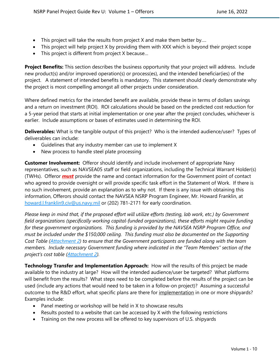- This project will take the results from project X and make them better by....
- This project will help project X by providing them with XXX which is beyond their project scope
- This project is different from project X because…

**Project Benefits:** This section describes the business opportunity that your project will address. Include new product(s) and/or improved operation(s) or process(es), and the intended beneficiar(ies) of the project. A statement of intended benefits is mandatory. This statement should clearly demonstrate why the project is most compelling amongst all other projects under consideration.

Where defined metrics for the intended benefit are available, provide these in terms of dollars savings and a return on investment (ROI). ROI calculations should be based on the predicted cost reduction for a 5-year period that starts at initial implementation or one year after the project concludes, whichever is earlier. Include assumptions or bases of estimates used in determining the ROI.

**Deliverables:** What is the tangible output of this project? Who is the intended audience/user? Types of deliverables can include:

- Guidelines that any industry member can use to implement X
- New process to handle steel plate processing

**Customer Involvement:** Offeror should identify and include involvement of appropriate Navy representatives, such as NAVSEA05 staff or field organizations, including the Technical Warrant Holder(s) (TWHs). Offeror *must* provide the name and contact information for the Government point of contact who agreed to provide oversight or will provide specific task effort in the Statement of Work. If there is no such involvement, provide an explanation as to why not. If there is any issue with obtaining this information, Offerors should contact the NAVSEA NSRP Program Engineer, Mr. Howard Franklin, at [howard.l.franklin9.civ@us.navy.mil](mailto:howard.l.franklin9.civ@us.navy.mil) or (202) 781-2171 for early coordination.

*Please keep in mind that, if the proposed effort will utilize efforts (testing, lab work, etc.) by Government field organizations (specifically working capital-funded organizations), these efforts might require funding for these government organizations. This funding is provided by the NAVSEA NSRP Program Office, and must be included under the \$150,000 ceiling. This funding must also be documented on the Supporting Cost Table [\(Attachment 2\)](#page-12-0) to ensure that the Government participants are funded along with the team members. Include necessary Government funding where indicated in the "Team Members" section of the project's cost table [\(Attachment 2\)](#page-12-0).*

**Technology Transfer and Implementation Approach:** How will the results of this project be made available to the industry at large? How will the intended audience/user be targeted? What platforms will benefit from the results? What steps need to be completed before the results of the project can be used (include any actions that would need to be taken in a follow-on project)? Assuming a successful outcome to the R&D effort, what specific plans are there for implementation in one or more shipyards? Examples include:

- Panel meeting or workshop will be held in X to showcase results
- Results posted to a website that can be accessed by X with the following restrictions
- Training on the new process will be offered to key supervisors of U.S. shipyards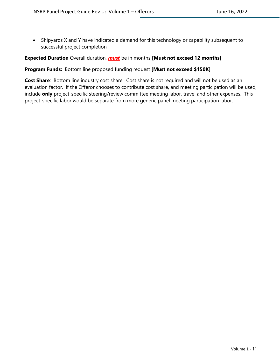• Shipyards X and Y have indicated a demand for this technology or capability subsequent to successful project completion

#### **Expected Duration** Overall duration, *must* be in months **[Must not exceed 12 months]**

#### **Program Funds:** Bottom line proposed funding request **[Must not exceed \$150K]**

**Cost Share**: Bottom line industry cost share. Cost share is not required and will not be used as an evaluation factor. If the Offeror chooses to contribute cost share, and meeting participation will be used, include **only** project-specific steering/review committee meeting labor, travel and other expenses. This project-specific labor would be separate from more generic panel meeting participation labor.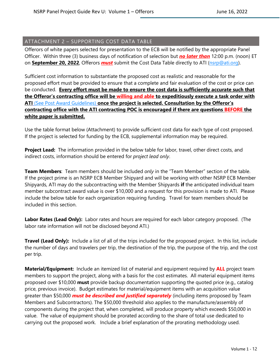#### <span id="page-12-0"></span>ATTACHMENT 2 – SUPPORTING COST DATA TABLE

Offerors of white papers selected for presentation to the ECB will be notified by the appropriate Panel Officer. Within three (3) business days of notification of selection but *no later than* 12:00 p.m. (noon) ET on **September 20, 2022**, Offerors *must* submit the Cost Data Table directly to ATI [\(nsrp@ati.org\)](mailto:nsrp@ati.org?subject=NSRP%20White%20Paper%20-%20Cost%20Data%20Table).

Sufficient cost information to substantiate the proposed cost as realistic and reasonable for the proposed effort must be provided to ensure that a complete and fair evaluation of the cost or price can be conducted. **Every effort must be made to ensure the cost data is sufficiently accurate such that the Offeror's contracting office will be willing and able to expeditiously execute a task order with ATI** [\(See Post Award Guidelines\)](#page-7-3) **once the project is selected. Consultation by the Offeror's contracting office with the ATI contracting POC is encouraged if there are questions BEFORE the white paper is submitted.**

Use the table format below (Attachment) to provide sufficient cost data for each type of cost proposed. If the project is selected for funding by the ECB, supplemental information may be required.

**Project Lead:** The information provided in the below table for labor, travel, other direct costs, and indirect costs, information should be entered for *project lead only*.

**Team Members**: Team members should be included *only* in the "Team Member" section of the table. If the project prime is an NSRP ECB Member Shipyard and will be working with other NSRP ECB Member Shipyards, ATI may do the subcontracting with the Member Shipyards **if** the anticipated individual team member subcontract award value is over \$10,000 and a request for this provision is made to ATI. Please include the below table for each organization requiring funding. Travel for team members should be included in this section.

**Labor Rates (Lead Only):** Labor rates and hours are required for each labor category proposed. (The labor rate information will not be disclosed beyond ATI.)

**Travel (Lead Only):** Include a list of all of the trips included for the proposed project. In this list, include the number of days and travelers per trip, the destination of the trip, the purpose of the trip, and the cost per trip.

**Material/Equipment:** Include an itemized list of material and equipment required by **ALL** project team members to support the project, along with a basis for the cost estimates. All material equipment items proposed over \$10,000 **must** provide backup documentation supporting the quoted price (e.g., catalog price, previous invoice). Budget estimates for material/equipment items with an acquisition value greater than \$50,000 *must be described and justified separately* (including items proposed by Team Members and Subcontractors). The \$50,000 threshold also applies to the manufacture/assembly of components during the project that, when completed, will produce property which exceeds \$50,000 in value. The value of equipment should be prorated according to the share of total use dedicated to carrying out the proposed work. Include a brief explanation of the prorating methodology used.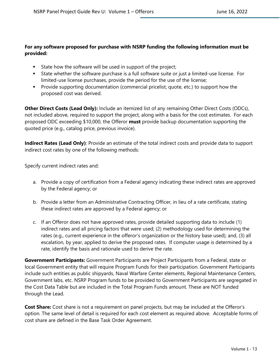#### **For any software proposed for purchase with NSRP funding the following information must be provided:**

- **State how the software will be used in support of the project;**
- State whether the software purchase is a full software suite or just a limited-use license. For limited-use license purchases, provide the period for the use of the license;
- **Provide supporting documentation (commercial pricelist, quote, etc.) to support how the** proposed cost was derived.

**Other Direct Costs (Lead Only):** Include an itemized list of any remaining Other Direct Costs (ODCs), not included above, required to support the project, along with a basis for the cost estimates. For each proposed ODC exceeding \$10,000, the Offeror **must** provide backup documentation supporting the quoted price (e.g., catalog price, previous invoice).

**Indirect Rates (Lead Only)**: Provide an estimate of the total indirect costs and provide data to support indirect cost rates by one of the following methods:

Specify current indirect rates and:

- a. Provide a copy of certification from a Federal agency indicating these indirect rates are approved by the Federal agency; or
- b. Provide a letter from an Administrative Contracting Officer, in lieu of a rate certificate, stating these indirect rates are approved by a Federal agency; or
- c. If an Offeror does not have approved rates, provide detailed supporting data to include (1) indirect rates and all pricing factors that were used; (2) methodology used for determining the rates (e.g., current experience in the offeror's organization or the history base used); and, (3) all escalation, by year, applied to derive the proposed rates. If computer usage is determined by a rate, identify the basis and rationale used to derive the rate.

**Government Participants:** Government Participants are Project Participants from a Federal, state or local Government entity that will require Program Funds for their participation. Government Participants include such entities as public shipyards, Naval Warfare Center elements, Regional Maintenance Centers, Government labs, etc. NSRP Program funds to be provided to Government Participants are segregated in the Cost Data Table but are included in the Total Program Funds amount. These are NOT funded through the Lead.

**Cost Share:** Cost share is not a requirement on panel projects, but may be included at the Offeror's option. The same level of detail is required for each cost element as required above. Acceptable forms of cost share are defined in the Base Task Order Agreement.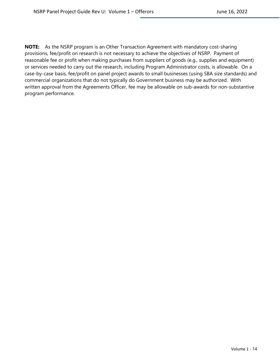**NOTE:** As the NSRP program is an Other Transaction Agreement with mandatory cost-sharing provisions, fee/profit on research is not necessary to achieve the objectives of NSRP. Payment of reasonable fee or profit when making purchases from suppliers of goods (e.g., supplies and equipment) or services needed to carry out the research, including Program Administrator costs, is allowable. On a case-by-case basis, fee/profit on panel project awards to small businesses (using SBA size standards) and commercial organizations that do not typically do Government business may be authorized. With written approval from the Agreements Officer, fee may be allowable on sub-awards for non-substantive program performance.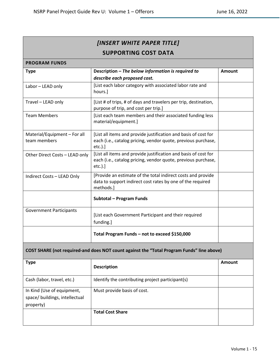| [INSERT WHITE PAPER TITLE]<br><b>SUPPORTING COST DATA</b> |                                                                                                                                                |               |  |  |  |
|-----------------------------------------------------------|------------------------------------------------------------------------------------------------------------------------------------------------|---------------|--|--|--|
| <b>PROGRAM FUNDS</b>                                      |                                                                                                                                                |               |  |  |  |
| <b>Type</b>                                               | Description - The below information is required to<br>describe each proposed cost.                                                             | <b>Amount</b> |  |  |  |
| Labor - LEAD only                                         | [List each labor category with associated labor rate and<br>hours.]                                                                            |               |  |  |  |
| Travel - LEAD only                                        | [List # of trips, # of days and travelers per trip, destination,<br>purpose of trip, and cost per trip.]                                       |               |  |  |  |
| <b>Team Members</b>                                       | [List each team members and their associated funding less<br>material/equipment.]                                                              |               |  |  |  |
| Material/Equipment - For all<br>team members              | [List all items and provide justification and basis of cost for<br>each (i.e., catalog pricing, vendor quote, previous purchase,<br>$etc.$ ).] |               |  |  |  |
| Other Direct Costs - LEAD only                            | [List all items and provide justification and basis of cost for<br>each (i.e., catalog pricing, vendor quote, previous purchase,<br>$etc.$ ).] |               |  |  |  |
| Indirect Costs - LEAD Only                                | [Provide an estimate of the total indirect costs and provide<br>data to support indirect cost rates by one of the required<br>methods.]        |               |  |  |  |
|                                                           | Subtotal - Program Funds                                                                                                                       |               |  |  |  |
| <b>Government Participants</b>                            | [List each Government Participant and their required<br>funding.]                                                                              |               |  |  |  |
|                                                           | Total Program Funds - not to exceed \$150,000                                                                                                  |               |  |  |  |

## **COST SHARE (not required-and does NOT count against the "Total Program Funds" line above)**

| Type                                                                      | <b>Description</b>                               | Amount |
|---------------------------------------------------------------------------|--------------------------------------------------|--------|
| Cash (labor, travel, etc.)                                                | Identify the contributing project participant(s) |        |
| In Kind (Use of equipment,<br>space/ buildings, intellectual<br>property) | Must provide basis of cost.                      |        |
|                                                                           | <b>Total Cost Share</b>                          |        |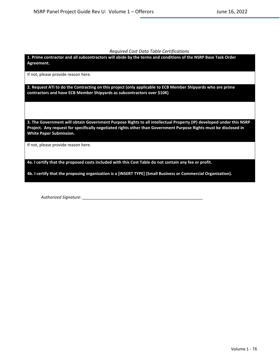#### *Required Cost Data Table Certifications*

**1. Prime contractor and all subcontractors will abide by the terms and conditions of the NSRP Base Task Order Agreement.**

If not, please provide reason here.

**2. Request ATI to do the Contracting on this project (only applicable to ECB Member Shipyards who are prime contractors and have ECB Member Shipyards as subcontractors over \$10K)**

**3. The Government will obtain Government Purpose Rights to all intellectual Property (IP) developed under this NSRP Project. Any request for specifically negotiated rights other than Government Purpose Rights must be disclosed in White Paper Submission.** 

If not, please provide reason here.

**4a. I certify that the proposed costs included with this Cost Table do not contain any fee or profit.**

**4b. I certify that the proposing organization is a [INSERT TYPE] (Small Business or Commercial Organization).**

*Authorized Signature: \_\_\_\_\_\_\_\_\_\_\_\_\_\_\_\_\_\_\_\_\_\_\_\_\_\_\_\_\_\_\_\_\_\_\_\_\_\_\_\_\_\_\_\_\_\_\_\_\_\_\_\_\_*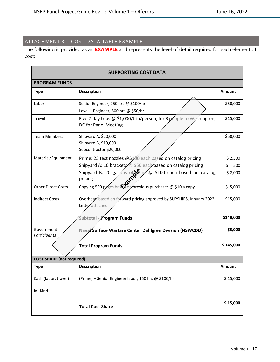## <span id="page-17-0"></span>ATTACHMENT 3 – COST DATA TABLE EXAMPLE

The following is provided as an **EXAMPLE** and represents the level of detail required for each element of cost:

| <b>SUPPORTING COST DATA</b>      |                                                                                                                                         |               |  |
|----------------------------------|-----------------------------------------------------------------------------------------------------------------------------------------|---------------|--|
| <b>PROGRAM FUNDS</b>             |                                                                                                                                         |               |  |
| <b>Type</b>                      | <b>Description</b>                                                                                                                      | <b>Amount</b> |  |
| Labor                            | Senior Engineer, 250 hrs @ \$100/hr<br>Level 1 Engineer, 500 hrs @ \$50/hr                                                              | \$50,000      |  |
| Travel                           | Five 2-day trips @ \$1,000/trip/person, for 3 people to Washington,<br>DC for Panel Meeting                                             | \$15,000      |  |
| <b>Team Members</b>              | Shipyard A, \$20,000<br>Shipyard B, \$10,000<br>Subcontractor \$20,000                                                                  | \$50,000      |  |
| Material/Equipment               | Prime: 25 test nozzles @\$100 each based on catalog pricing                                                                             | \$2,500       |  |
|                                  | Shipyard A: 10 brackets @ \$50 eacly based on catalog pricing                                                                           | \$<br>500     |  |
|                                  | Shipyard B: 20 gallons of Stain @ \$100 each based on catalog<br>pricing<br>Copying 500 pages based or previous purchases @ \$10 a copy | \$2,000       |  |
| <b>Other Direct Costs</b>        |                                                                                                                                         | \$5,000       |  |
| <b>Indirect Costs</b>            | Overhead based on forward pricing approved by SUPSHIPS, January 2022.<br>Letter attached                                                | \$15,000      |  |
|                                  | Subtotal - Program Funds                                                                                                                | \$140,000     |  |
| Government<br>Participants       | Nava/Surface Warfare Center Dahlgren Division (NSWCDD)                                                                                  | \$5,000       |  |
|                                  | <b>Total Program Funds</b>                                                                                                              | \$145,000     |  |
| <b>COST SHARE (not required)</b> |                                                                                                                                         |               |  |
| <b>Type</b>                      | <b>Description</b>                                                                                                                      | Amount        |  |
| Cash (labor, travel)             | (Prime) - Senior Engineer labor, 150 hrs @ \$100/hr                                                                                     | \$15,000      |  |
| In-Kind                          |                                                                                                                                         |               |  |
|                                  | <b>Total Cost Share</b>                                                                                                                 | \$15,000      |  |